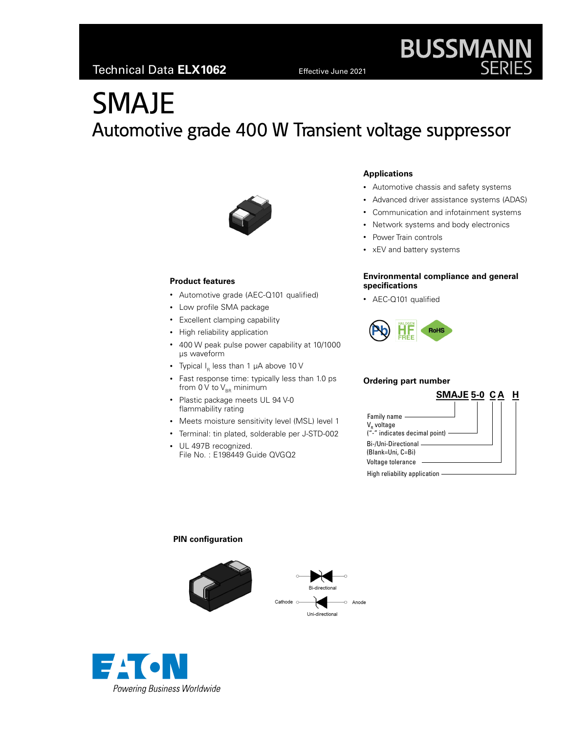# SMAJE Automotive grade 400 W Transient voltage suppressor



# **Product features**

- Automotive grade (AEC-Q101 qualified)
- Low profile SMA package
- Excellent clamping capability
- High reliability application
- 400 W peak pulse power capability at 10/1000 μs waveform
- Typical  $I_R$  less than 1  $\mu$ A above 10 V
- Fast response time: typically less than 1.0 ps from 0 V to  $V_{BR}$  minimum
- Plastic package meets UL 94 V-0 flammability rating
- Meets moisture sensitivity level (MSL) level 1
- Terminal: tin plated, solderable per J-STD-002
- UL 497B recognized. File No. : E198449 Guide QVGQ2

# **Applications**

- Automotive chassis and safety systems
- Advanced driver assistance systems (ADAS)

**BUSSMANN** 

- Communication and infotainment systems
- Network systems and body electronics
- Power Train controls
- xEV and battery systems

## **Environmental compliance and general specifications**

• AEC-Q101 qualified



# **Ordering part number**

|                                                                          | <b>SMAJE 5-0 CA</b> |  |
|--------------------------------------------------------------------------|---------------------|--|
| Family name -<br>V <sub>R</sub> voltage<br>("-" indicates decimal point) |                     |  |
| Bi-/Uni-Directional -<br>(Blank=Uni, C=Bi)<br>Voltage tolerance          |                     |  |
| High reliability application                                             |                     |  |

# **PIN configuration**



o Anode

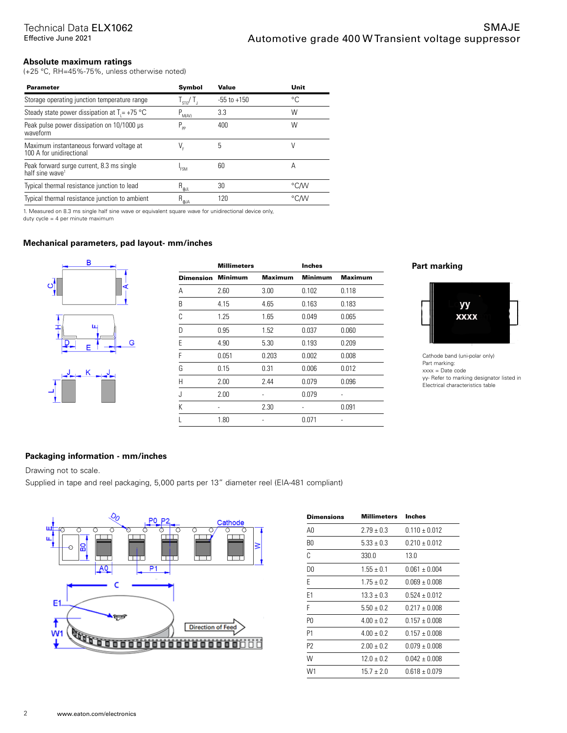# **Absolute maximum ratings**

(+25 °C, RH=45%-75%, unless otherwise noted)

| <b>Parameter</b>                                                         | <b>Symbol</b>               | Value           | Unit |
|--------------------------------------------------------------------------|-----------------------------|-----------------|------|
| Storage operating junction temperature range                             | $\frac{1}{2}$ $\frac{1}{2}$ | $-55$ to $+150$ | °C   |
| Steady state power dissipation at $T = +75$ °C                           | $P_{M\underline{(AV)}}$     | 3.3             | W    |
| Peak pulse power dissipation on 10/1000 µs<br>waveform                   | $P_{\rm pp}$                | 400             | W    |
| Maximum instantaneous forward voltage at<br>100 A for unidirectional     | V.                          | 5               |      |
| Peak forward surge current, 8.3 ms single<br>half sine wave <sup>1</sup> | <b>FSM</b>                  | 60              | А    |
| Typical thermal resistance junction to lead                              | $R_{_{\Theta\text{JL}}}$    | 30              | °CM  |
| Typical thermal resistance junction to ambient                           | $R_{\theta$ ja              | 120             | °C/W |

1. Measured on 8.3 ms single half sine wave or equivalent square wave for unidirectional device only,

duty cycle = 4 per minute maximum

# **Mechanical parameters, pad layout- mm/inches**





#### **Part marking**



Cathode band (uni-polar only) Part marking: xxxx = Date code yy- Refer to marking designator listed in Electrical characteristics table

# **Packaging information - mm/inches**

Drawing not to scale.

Supplied in tape and reel packaging, 5,000 parts per 13" diameter reel (EIA-481 compliant)



| <b>Dimensions</b> | <b>Millimeters</b> | Inches            |
|-------------------|--------------------|-------------------|
| A0                | $2.79 + 0.3$       | $0.110 \pm 0.012$ |
| B0                | $5.33 + 0.3$       | $0.210 \pm 0.012$ |
| C                 | 330.0              | 13.0              |
| D0                | $1.55 \pm 0.1$     | $0.061 \pm 0.004$ |
| E                 | $1.75 + 0.2$       | $0.069 \pm 0.008$ |
| E1                | $13.3 \pm 0.3$     | $0.524 \pm 0.012$ |
| F                 | $5.50 + 0.2$       | $0.217 \pm 0.008$ |
| P0                | $4.00 + 0.2$       | $0.157 \pm 0.008$ |
| P1                | $4.00 + 0.2$       | $0.157 \pm 0.008$ |
| P <sub>2</sub>    | $2.00 + 0.2$       | $0.079 \pm 0.008$ |
| W                 | $12.0 + 0.2$       | $0.042 \pm 0.008$ |
| W1                | $15.7 + 2.0$       | $0.618 + 0.079$   |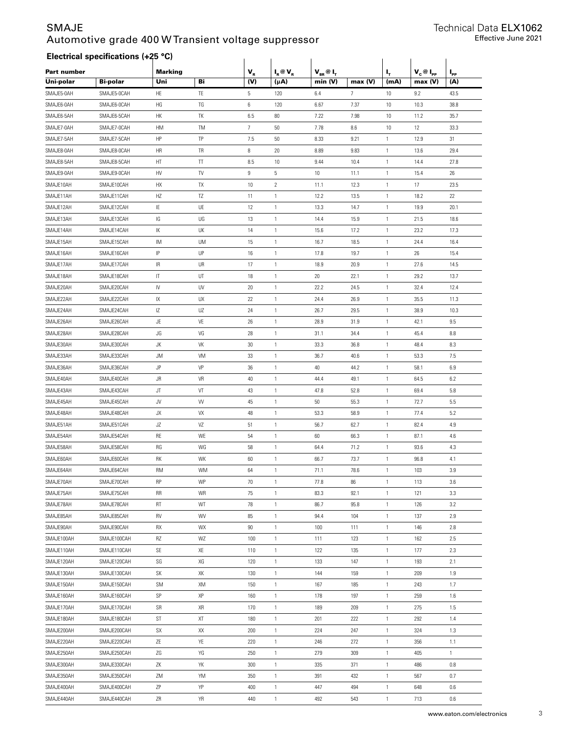# SMAJE Automotive grade 400 W Transient voltage suppressor

# **Electrical specifications (+25 °C)**

| Electrical specifications (+25 °C) |                 |                       |    |                 |                |                      |                |                |                |              |
|------------------------------------|-----------------|-----------------------|----|-----------------|----------------|----------------------|----------------|----------------|----------------|--------------|
| Part number                        |                 | <b>Marking</b>        |    | $V_{R}$         | $I_R @V_R$     | $V_{BR}$ $@$ $I_{T}$ |                | ı,             | $V_c @ I_{PP}$ | $I_{\rm PP}$ |
| Uni-polar                          | <b>Bi-polar</b> | Uni                   | Bi | (V)             | $(\mu A)$      | min (V)              | max(V)         | (mA)           | max (V)        | (A)          |
| SMAJE5-0AH                         | SMAJE5-0CAH     | HE                    | TE | 5               | 120            | 6.4                  | $\overline{7}$ | 10             | 9.2            | 43.5         |
| SMAJE6-0AH                         | SMAJE6-0CAH     | ΗG                    | TG | 6               | 120            | 6.67                 | 7.37           | 10             | 10.3           | 38.8         |
| SMAJE6-5AH                         | SMAJE6-5CAH     | НK                    | TK | 6.5             | 80             | 7.22                 | 7.98           | 10             | 11.2           | 35.7         |
| SMAJE7-0AH                         | SMAJE7-0CAH     | HM                    | TM | $7\overline{ }$ | 50             | 7.78                 | 8.6            | 10             | 12             | 33.3         |
| SMAJE7-5AH                         | SMAJE7-5CAH     | HP                    | ΤP | 7.5             | 50             | 8.33                 | 9.21           | $\overline{1}$ | 12.9           | 31           |
| SMAJE8-0AH                         | SMAJE8-0CAH     | HR                    | TR | 8               | 20             | 8.89                 | 9.83           | $\overline{1}$ | 13.6           | 29.4         |
| SMAJE8-5AH                         | SMAJE8-5CAH     | HT                    | π  | 8.5             | 10             | 9.44                 | 10.4           | $\mathbf{1}$   | 14.4           | 27.8         |
| SMAJE9-0AH                         | SMAJE9-0CAH     | HV                    | TV | 9               | 5              | 10                   | 11.1           | $\mathbf{1}$   | 15.4           | 26           |
| SMAJE10AH                          | SMAJE10CAH      | HX                    | TX | 10              | $\overline{2}$ | 11.1                 | 12.3           | $\overline{1}$ | 17             | 23.5         |
| SMAJE11AH                          | SMAJE11CAH      | ΗZ                    | TZ | 11              | $\overline{1}$ | 12.2                 | 13.5           | $\overline{1}$ | 18.2           | 22           |
| SMAJE12AH                          | SMAJE12CAH      | ΙE                    | UE | 12              | $\mathbf{1}$   | 13.3                 | 14.7           | $\mathbf{1}$   | 19.9           | 20.1         |
| SMAJE13AH                          | SMAJE13CAH      | IG                    | UG | 13              | $\mathbf{1}$   | 14.4                 | 15.9           | $\overline{1}$ | 21.5           | 18.6         |
| SMAJE14AH                          | SMAJE14CAH      | ΙK                    | UK | 14              | $\mathbf{1}$   | 15.6                 | 17.2           | $\overline{1}$ | 23.2           | 17.3         |
| SMAJE15AH                          | SMAJE15CAH      | IM                    | UM | 15              | $\overline{1}$ | 16.7                 | 18.5           | $\overline{1}$ | 24.4           | 16.4         |
| SMAJE16AH                          | SMAJE16CAH      | IP                    | UP | 16              | $\mathbf{1}$   | 17.8                 | 19.7           | $\mathbf{1}$   | 26             | 15.4         |
| SMAJE17AH                          | SMAJE17CAH      | IR                    | UR | 17              | $\mathbf{1}$   | 18.9                 | 20.9           | $\mathbf{1}$   | 27.6           | 14.5         |
| SMAJE18AH                          | SMAJE18CAH      | IT                    | UT | 18              | $\overline{1}$ | 20                   | 22.1           | $\overline{1}$ | 29.2           | 13.7         |
| SMAJE20AH                          | SMAJE20CAH      | IV                    | UV | 20              | $\overline{1}$ | 22.2                 | 24.5           | $\overline{1}$ | 32.4           | 12.4         |
| SMAJE22AH                          | SMAJE22CAH      | IX                    | UX | 22              | $\overline{1}$ | 24.4                 | 26.9           | $\overline{1}$ | 35.5           | 11.3         |
| SMAJE24AH                          | SMAJE24CAH      | ΙZ                    | UZ | 24              | $\mathbf{1}$   | 26.7                 | 29.5           | $\mathbf{1}$   | 38.9           | 10.3         |
| SMAJE26AH                          | SMAJE26CAH      | JE                    | VE | 26              | $\mathbf{1}$   | 28.9                 | 31.9           | $\mathbf{1}$   | 42.1           | 9.5          |
| SMAJE28AH                          | SMAJE28CAH      | JG                    | VG | 28              | $\overline{1}$ | 31.1                 | 34.4           | $\overline{1}$ | 45.4           | 8.8          |
| SMAJE30AH                          | SMAJE30CAH      | JK                    | VK | 30              | $\mathbf{1}$   | 33.3                 | 36.8           | $\overline{1}$ | 48.4           | 8.3          |
| SMAJE33AH                          | SMAJE33CAH      | <b>JM</b>             | VM | 33              | $\mathbf{1}$   | 36.7                 | 40.6           | $\mathbf{1}$   | 53.3           | 7.5          |
| SMAJE36AH                          | SMAJE36CAH      | JP                    | VP | 36              | $\mathbf{1}$   | 40                   | 44.2           | $\mathbf{1}$   | 58.1           | 6.9          |
| SMAJE40AH                          | SMAJE40CAH      | JR                    | VR | 40              | $\overline{1}$ | 44.4                 | 49.1           | $\overline{1}$ | 64.5           | 6.2          |
| SMAJE43AH                          | SMAJE43CAH      | JT                    | VT | 43              | $\overline{1}$ | 47.8                 | 52.8           | $\overline{1}$ | 69.4           | 5.8          |
| SMAJE45AH                          | SMAJE45CAH      | JV                    | W  | 45              | $\mathbf{1}$   | 50                   | 55.3           | $\mathbf{1}$   | 72.7           | 5.5          |
| SMAJE48AH                          | SMAJE48CAH      | JХ                    | VX | 48              | $\mathbf{1}$   | 53.3                 | 58.9           | $\mathbf{1}$   | 77.4           | 5.2          |
| SMAJE51AH                          | SMAJE51CAH      | JZ                    | VZ | 51              | $\mathbf{1}$   | 56.7                 | 62.7           | $\mathbf{1}$   | 82.4           | 4.9          |
| SMAJE54AH                          | SMAJE54CAH      | RE                    | WE | 54              | $\mathbf{1}$   | 60                   | 66.3           | $\overline{1}$ | 87.1           | 4.6          |
| SMAJE58AH                          | SMAJE58CAH      | RG                    | WG | 58              | $\mathbf{1}$   | 64.4                 | 71.2           | $\mathbf{1}$   | 93.6           | 4.3          |
| SMAJE60AH                          | SMAJE60CAH      | RK                    | WK | 60              | $\mathbf{1}$   | 66.7                 | 73.7           | $\mathbf{1}$   | 96.8           | 4.1          |
| SMAJE64AH                          | SMAJE64CAH      | <b>RM</b>             | WM | 64              | -1             | 71.1                 | 78.6           | 1              | 103            | 3.9          |
| SMAJE70AH                          | SMAJE70CAH      | RP                    | WP | 70              | $\mathbf{1}$   | 77.8                 | 86             | $\overline{1}$ | 113            | 3.6          |
| SMAJE75AH                          | SMAJE75CAH      | RR                    | WR | 75              | $\overline{1}$ | 83.3                 | 92.1           | $\overline{1}$ | 121            | 3.3          |
| SMAJE78AH                          | SMAJE78CAH      | RT                    | WT | 78              | $\mathbf{1}$   | 86.7                 | 95.8           | $\mathbf{1}$   | 126            | 3.2          |
| SMAJE85AH                          | SMAJE85CAH      | RV                    | WV | 85              | $\overline{1}$ | 94.4                 | 104            | $\mathbf{1}$   | 137            | 2.9          |
| SMAJE90AH                          | SMAJE90CAH      | RX                    | WX | 90              | $\overline{1}$ | 100                  | 111            | $\overline{1}$ | 146            | 2.8          |
| SMAJE100AH                         | SMAJE100CAH     | RZ                    | WZ | 100             | $\overline{1}$ | 111                  | 123            | $\overline{1}$ | 162            | 2.5          |
| SMAJE110AH                         | SMAJE110CAH     | SE                    | XE | 110             | $\mathbf{1}$   | 122                  | 135            | $\mathbf{1}$   | 177            | 2.3          |
| SMAJE120AH                         | SMAJE120CAH     | $\mathbb S \mathbb G$ | XG | 120             | $\mathbf{1}$   | 133                  | 147            | $\mathbf{1}$   | 193            | 2.1          |
| SMAJE130AH                         | SMAJE130CAH     | SK                    | ХK | 130             | $\mathbf{1}$   | 144                  | 159            | $\mathbf{1}$   | 209            | 1.9          |
| SMAJE150AH                         | SMAJE150CAH     | <b>SM</b>             | XM | 150             | $\mathbf{1}$   | 167                  | 185            | $\mathbf{1}$   | 243            | 1.7          |
| SMAJE160AH                         | SMAJE160CAH     | SP                    | XP | 160             | $\mathbf{1}$   | 178                  | 197            | $\mathbf{1}$   | 259            | 1.6          |
| SMAJE170AH                         | SMAJE170CAH     | SR                    | XR | 170             | $\mathbf{1}$   | 189                  | 209            | $\mathbf{1}$   | 275            | 1.5          |
| SMAJE180AH                         | SMAJE180CAH     | ST                    | ХT | 180             | $\mathbf{1}$   | 201                  | 222            | $\mathbf{1}$   | 292            | 1.4          |
| SMAJE200AH                         | SMAJE200CAH     | SX                    | XX | 200             | $\mathbf{1}$   | 224                  | 247            | $\overline{1}$ | 324            | 1.3          |
| SMAJE220AH                         | SMAJE220CAH     | ΖE                    | YE | 220             | $\overline{1}$ | 246                  | 272            | $\mathbf{1}$   | 356            | 1.1          |
| SMAJE250AH                         | SMAJE250CAH     | ZG                    | ΥG | 250             | $\mathbf{1}$   | 279                  | 309            | $\mathbf{1}$   | 405            | $\mathbf{1}$ |
| SMAJE300AH                         | SMAJE330CAH     | ΖK                    | ΥK | 300             | $\mathbf{1}$   | 335                  | 371            | $\mathbf{1}$   | 486            | 0.8          |
| SMAJE350AH                         | SMAJE350CAH     | ZM                    | YM | 350             | $\mathbf{1}$   | 391                  | 432            | $\mathbf{1}$   | 567            | 0.7          |
| SMAJE400AH                         | SMAJE400CAH     | ΖP                    | YP | 400             | $\mathbf{1}$   | 447                  | 494            | $\mathbf{1}$   | 648            | $0.6\,$      |
| SMAJE440AH                         | SMAJE440CAH     | ZR                    | YR | 440             | $\mathbf{1}$   | 492                  | 543            | $\mathbf{1}$   | 713            | 0.6          |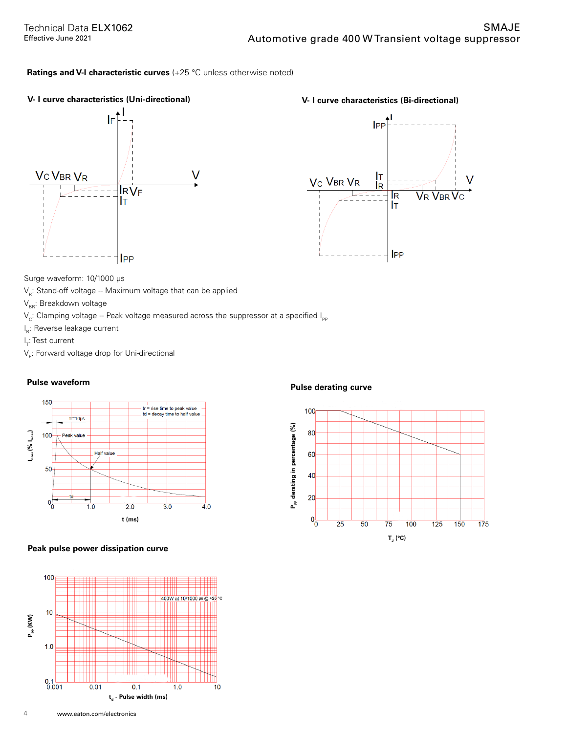# **Ratings and V-I characteristic curves** (+25 °C unless otherwise noted)

# **V- I curve characteristics (Uni-directional) V- I curve characteristics (Bi-directional)**





Surge waveform: 10/1000 μs

 $V_{R}$ : Stand-off voltage -- Maximum voltage that can be applied

 $V_{BB}$ : Breakdown voltage

- $V_c$ : Clamping voltage -- Peak voltage measured across the suppressor at a specified  $I_{\text{PP}}$
- l<sub>R</sub>: Reverse leakage current
- l<sub>T</sub>: Test current
- $\mathsf{V}_\mathsf{F}$ : Forward voltage drop for Uni-directional



# **Peak pulse power dissipation curve**



# **Pulse waveform Pulse derating curve**

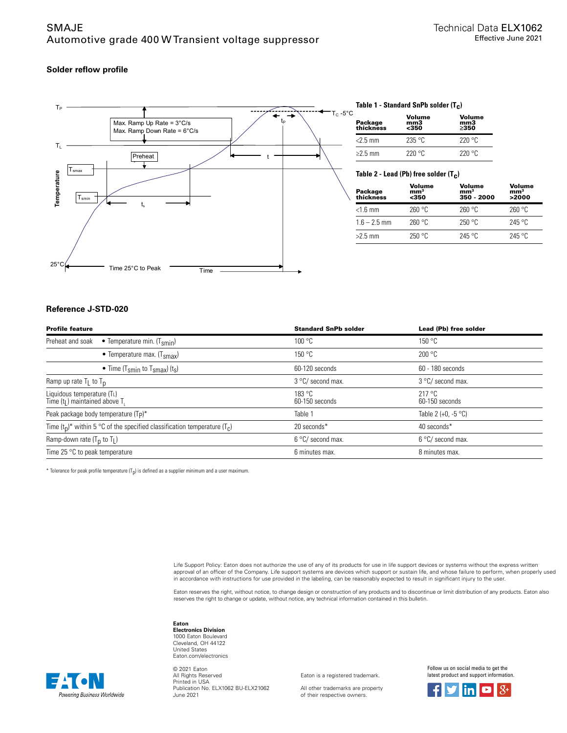# **Solder reflow profile**



### **Table 1 - Standard SnPb solder (T c )**

| Package<br>thickness | <b>Volume</b><br>mm3<br>$350$ | Volume<br>mm3<br>>350 |
|----------------------|-------------------------------|-----------------------|
| $<$ 2.5 mm           | 235 °C                        | 220 °C                |
| $\geq$ 2.5 mm        | 220 °C                        | 220°C                 |

**Table 2 - Lead (Pb) free solder (T c )**

| Package<br>thickness | Volume<br>mm <sup>3</sup><br><350 | Volume<br>mm <sup>3</sup><br>350 - 2000 | Volume<br>mm <sup>3</sup><br>>2000 |
|----------------------|-----------------------------------|-----------------------------------------|------------------------------------|
| $<$ 1.6 mm           | 260 °C                            | 260 °C                                  | 260 °C                             |
| $1.6 - 2.5$ mm       | 260 °C                            | 250 °C                                  | $245$ °C                           |
| $>2.5$ mm            | 250 °C                            | 245 °C                                  | $245$ °C                           |

### **Reference J-STD-020**

| <b>Profile feature</b>                                                         | <b>Standard SnPb solder</b> | Lead (Pb) free solder         |
|--------------------------------------------------------------------------------|-----------------------------|-------------------------------|
| Preheat and soak<br>• Temperature min. $(T_{smin})$                            | 100 °C                      | 150 °C                        |
| • Temperature max. $(Tsmax)$                                                   | 150 °C                      | 200 °C                        |
| • Time (T <sub>smin</sub> to T <sub>smax</sub> ) (t <sub>s</sub> )             | 60-120 seconds              | 60 - 180 seconds              |
| Ramp up rate $T_L$ to $T_D$                                                    | 3 °C/ second max.           | 3 °C/ second max.             |
| Liquidous temperature (TL)<br>Time $(tL)$ maintained above T.                  | 183 °C<br>60-150 seconds    | 217 °C<br>60-150 seconds      |
| Peak package body temperature (Tp)*                                            | Table 1                     | Table 2 (+0, -5 $^{\circ}$ C) |
| Time $(t_0)^*$ within 5 °C of the specified classification temperature $(T_c)$ | 20 seconds*                 | 40 seconds*                   |
| Ramp-down rate $(T_p$ to $T_l$ )                                               | 6 °C/ second max.           | 6 °C/ second max.             |
| Time 25 $\degree$ C to peak temperature                                        | 6 minutes max.              | 8 minutes max.                |

 $^*$  Tolerance for peak profile temperature (T<sub>p</sub>) is defined as a supplier minimum and a user maximum.

Life Support Policy: Eaton does not authorize the use of any of its products for use in life support devices or systems without the express written approval of an officer of the Company. Life support systems are devices which support or sustain life, and whose failure to perform, when properly used in accordance with instructions for use provided in the labeling, can be reasonably expected to result in significant injury to the user.

Eaton reserves the right, without notice, to change design or construction of any products and to discontinue or limit distribution of any products. Eaton also<br>reserves the right to change or update, without notice, any te

#### **Eaton**

**Electronics Division** 1000 Eaton Boulevard Cleveland, OH 44122 United States Eaton.com/electronics

Powering Business Worldwide

© 2021 Eaton All Rights Reserved Printed in USA Publication No. ELX1062 BU-ELX21062 June 2021

Eaton is a registered trademark.

All other trademarks are property of their respective owners.

Follow us on social media to get the latest product and support information.